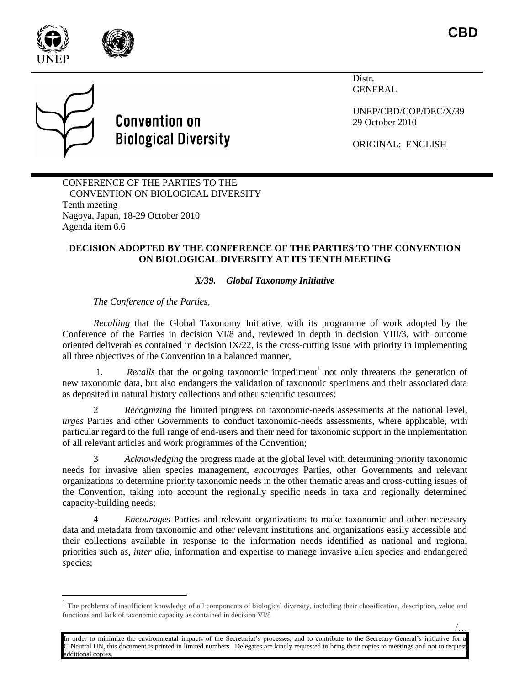

 $\overline{a}$ 

Distr. GENERAL

UNEP/CBD/COP/DEC/X/39 29 October 2010

ORIGINAL: ENGLISH

CONFERENCE OF THE PARTIES TO THE CONVENTION ON BIOLOGICAL DIVERSITY Tenth meeting Nagoya, Japan, 18-29 October 2010 Agenda item 6.6

**Convention on** 

**Biological Diversity** 

## **DECISION ADOPTED BY THE CONFERENCE OF THE PARTIES TO THE CONVENTION ON BIOLOGICAL DIVERSITY AT ITS TENTH MEETING**

## *X/39. Global Taxonomy Initiative*

*The Conference of the Parties,*

*Recalling* that the Global Taxonomy Initiative, with its programme of work adopted by the Conference of the Parties in decision VI/8 and, reviewed in depth in decision VIII/3, with outcome oriented deliverables contained in decision  $IX/22$ , is the cross-cutting issue with priority in implementing all three objectives of the Convention in a balanced manner,

1. *Recalls* that the ongoing taxonomic impediment<sup>1</sup> not only threatens the generation of new taxonomic data, but also endangers the validation of taxonomic specimens and their associated data as deposited in natural history collections and other scientific resources;

2 *Recognizing* the limited progress on taxonomic-needs assessments at the national level, *urges* Parties and other Governments to conduct taxonomic-needs assessments, where applicable, with particular regard to the full range of end-users and their need for taxonomic support in the implementation of all relevant articles and work programmes of the Convention;

3 *Acknowledging* the progress made at the global level with determining priority taxonomic needs for invasive alien species management, *encourages* Parties, other Governments and relevant organizations to determine priority taxonomic needs in the other thematic areas and cross-cutting issues of the Convention, taking into account the regionally specific needs in taxa and regionally determined capacity-building needs;

4 *Encourages* Parties and relevant organizations to make taxonomic and other necessary data and metadata from taxonomic and other relevant institutions and organizations easily accessible and their collections available in response to the information needs identified as national and regional priorities such as, *inter alia,* information and expertise to manage invasive alien species and endangered species;

<sup>&</sup>lt;sup>1</sup> The problems of insufficient knowledge of all components of biological diversity, including their classification, description, value and functions and lack of taxonomic capacity as contained in decision VI/8

<sup>/…</sup> In order to minimize the environmental impacts of the Secretariat's processes, and to contribute to the Secretary-General's initiative for a C-Neutral UN, this document is printed in limited numbers. Delegates are kindly requested to bring their copies to meetings and not to request additional copies.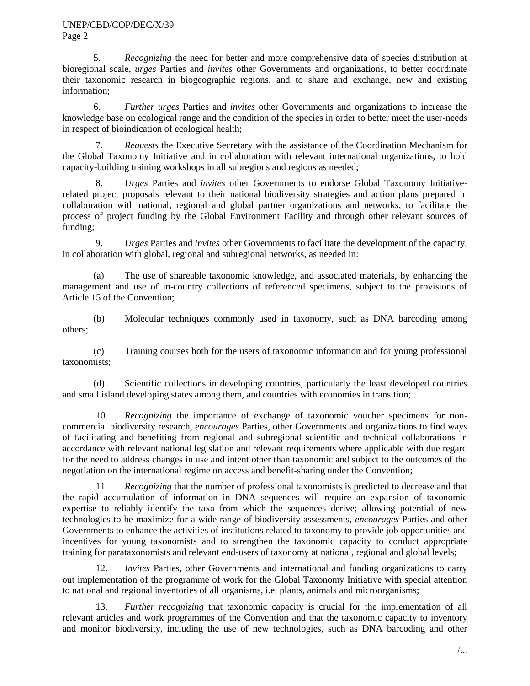## UNEP/CBD/COP/DEC/X/39 Page 2

5. *Recognizing* the need for better and more comprehensive data of species distribution at bioregional scale, *urges* Parties and *invites* other Governments and organizations, to better coordinate their taxonomic research in biogeographic regions, and to share and exchange, new and existing information;

6. *Further urges* Parties and *invites* other Governments and organizations to increase the knowledge base on ecological range and the condition of the species in order to better meet the user-needs in respect of bioindication of ecological health;

7*. Requests* the Executive Secretary with the assistance of the Coordination Mechanism for the Global Taxonomy Initiative and in collaboration with relevant international organizations, to hold capacity-building training workshops in all subregions and regions as needed;

8. *Urges* Parties and *invites* other Governments to endorse Global Taxonomy Initiativerelated project proposals relevant to their national biodiversity strategies and action plans prepared in collaboration with national, regional and global partner organizations and networks, to facilitate the process of project funding by the Global Environment Facility and through other relevant sources of funding;

9. *Urges* Parties and *invites* other Governments to facilitate the development of the capacity, in collaboration with global, regional and subregional networks, as needed in:

(a) The use of shareable taxonomic knowledge, and associated materials, by enhancing the management and use of in-country collections of referenced specimens, subject to the provisions of Article 15 of the Convention;

(b) Molecular techniques commonly used in taxonomy, such as DNA barcoding among others;

(c) Training courses both for the users of taxonomic information and for young professional taxonomists;

(d) Scientific collections in developing countries, particularly the least developed countries and small island developing states among them, and countries with economies in transition;

10. *Recognizing* the importance of exchange of taxonomic voucher specimens for noncommercial biodiversity research, *encourages* Parties, other Governments and organizations to find ways of facilitating and benefiting from regional and subregional scientific and technical collaborations in accordance with relevant national legislation and relevant requirements where applicable with due regard for the need to address changes in use and intent other than taxonomic and subject to the outcomes of the negotiation on the international regime on access and benefit-sharing under the Convention;

11 *Recognizing* that the number of professional taxonomists is predicted to decrease and that the rapid accumulation of information in DNA sequences will require an expansion of taxonomic expertise to reliably identify the taxa from which the sequences derive; allowing potential of new technologies to be maximize for a wide range of biodiversity assessments, *encourages* Parties and other Governments to enhance the activities of institutions related to taxonomy to provide job opportunities and incentives for young taxonomists and to strengthen the taxonomic capacity to conduct appropriate training for parataxonomists and relevant end-users of taxonomy at national, regional and global levels;

12. *Invites* Parties, other Governments and international and funding organizations to carry out implementation of the programme of work for the Global Taxonomy Initiative with special attention to national and regional inventories of all organisms, i.e. plants, animals and microorganisms;

13. *Further recognizing* that taxonomic capacity is crucial for the implementation of all relevant articles and work programmes of the Convention and that the taxonomic capacity to inventory and monitor biodiversity, including the use of new technologies, such as DNA barcoding and other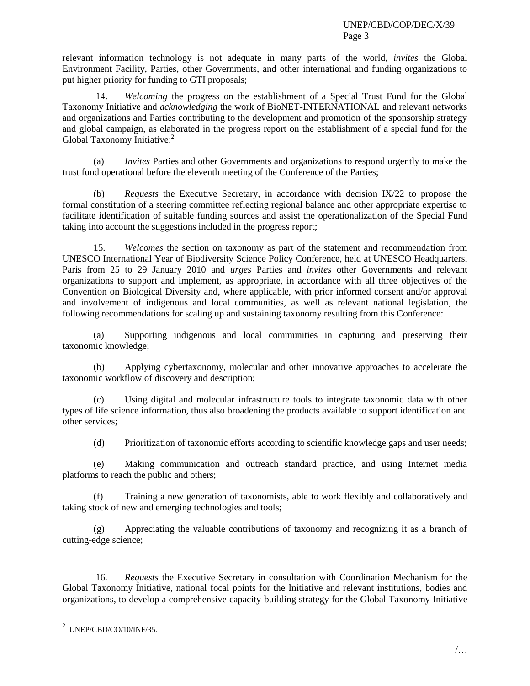relevant information technology is not adequate in many parts of the world, *invites* the Global Environment Facility, Parties, other Governments, and other international and funding organizations to put higher priority for funding to GTI proposals;

14. *Welcoming* the progress on the establishment of a Special Trust Fund for the Global Taxonomy Initiative and *acknowledging* the work of BioNET-INTERNATIONAL and relevant networks and organizations and Parties contributing to the development and promotion of the sponsorship strategy and global campaign, as elaborated in the progress report on the establishment of a special fund for the Global Taxonomy Initiative: 2

(a) *Invites* Parties and other Governments and organizations to respond urgently to make the trust fund operational before the eleventh meeting of the Conference of the Parties;

(b) *Requests* the Executive Secretary, in accordance with decision IX/22 to propose the formal constitution of a steering committee reflecting regional balance and other appropriate expertise to facilitate identification of suitable funding sources and assist the operationalization of the Special Fund taking into account the suggestions included in the progress report;

15. *Welcomes* the section on taxonomy as part of the statement and recommendation from UNESCO International Year of Biodiversity Science Policy Conference, held at UNESCO Headquarters, Paris from 25 to 29 January 2010 and *urges* Parties and *invites* other Governments and relevant organizations to support and implement, as appropriate, in accordance with all three objectives of the Convention on Biological Diversity and, where applicable, with prior informed consent and/or approval and involvement of indigenous and local communities, as well as relevant national legislation, the following recommendations for scaling up and sustaining taxonomy resulting from this Conference:

(a) Supporting indigenous and local communities in capturing and preserving their taxonomic knowledge;

(b) Applying cybertaxonomy, molecular and other innovative approaches to accelerate the taxonomic workflow of discovery and description;

(c) Using digital and molecular infrastructure tools to integrate taxonomic data with other types of life science information, thus also broadening the products available to support identification and other services;

(d) Prioritization of taxonomic efforts according to scientific knowledge gaps and user needs;

(e) Making communication and outreach standard practice, and using Internet media platforms to reach the public and others;

(f) Training a new generation of taxonomists, able to work flexibly and collaboratively and taking stock of new and emerging technologies and tools;

(g) Appreciating the valuable contributions of taxonomy and recognizing it as a branch of cutting-edge science;

16*. Requests* the Executive Secretary in consultation with Coordination Mechanism for the Global Taxonomy Initiative, national focal points for the Initiative and relevant institutions, bodies and organizations, to develop a comprehensive capacity-building strategy for the Global Taxonomy Initiative

 $\overline{a}$ 

 $^2$  UNEP/CBD/CO/10/INF/35.